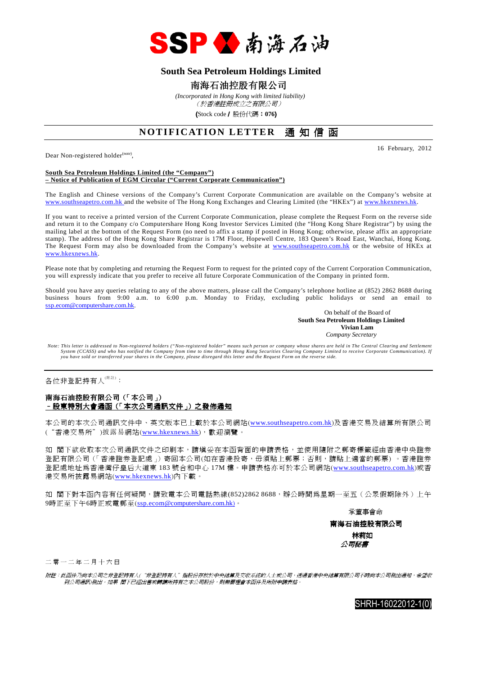

### **South Sea Petroleum Holdings Limited**

#### 南海石油控股有限公司

 *(Incorporated in Hong Kong with limited liability)* (於香港註冊成立之有限公司)

(Stock code/ 股份代碼:**076**)

## **NOTIFICATION LETTER** 通知信函

Dear Non-registered holder<sup>(note)</sup>,

16 February, 2012

#### **South Sea Petroleum Holdings Limited (the "Company") – Notice of Publication of EGM Circular ("Current Corporate Communication")**

The English and Chinese versions of the Company's Current Corporate Communication are available on the Company's website at www.southseapetro.com.hk and the website of The Hong Kong Exchanges and Clearing Limited (the "HKEx") at www.hkexnews.hk.

If you want to receive a printed version of the Current Corporate Communication, please complete the Request Form on the reverse side and return it to the Company c/o Computershare Hong Kong Investor Services Limited (the "Hong Kong Share Registrar") by using the mailing label at the bottom of the Request Form (no need to affix a stamp if posted in Hong Kong; otherwise, please affix an appropriate stamp). The address of the Hong Kong Share Registrar is 17M Floor, Hopewell Centre, 183 Queen's Road East, Wanchai, Hong Kong. The Request Form may also be downloaded from the Company's website at www.southseapetro.com.hk or the website of HKEx at www.hkexnews.hk.

Please note that by completing and returning the Request Form to request for the printed copy of the Current Corporation Communication, you will expressly indicate that you prefer to receive all future Corporate Communication of the Company in printed form.

Should you have any queries relating to any of the above matters, please call the Company's telephone hotline at (852) 2862 8688 during business hours from 9:00 a.m. to 6:00 p.m. Monday to Friday, excluding public holidays or send an email to ssp.ecom@computershare.com.hk.

On behalf of the Board of  **South Sea Petroleum Holdings Limited Vivian Lam**  *Company Secretary* 

*Note: This letter is addressed to Non-registered holders ("Non-registered holder" means such person or company whose shares are held in The Central Clearing and Settlement System (CCASS) and who has notified the Company from time to time through Hong Kong Securities Clearing Company Limited to receive Corporate Communication). If you have sold or transferred your shares in the Company, please disregard this letter and the Request Form on the reverse side.* 

各位非登記持有人<sup>(附註)</sup>:

#### 南海石油控股有限公司(「本公司」) <u>- 股東特別大會通函(「本次公司通訊文件」)之發佈通知</u>

本公司的本次公司通訊文件中、英文版本已上載於本公司網站(www.southseapetro.com.hk)及香港交易及結算所有限公司 ("香港交易所")披露易網站(www.hkexnews.hk),歡迎瀏覽。

如 閣下欲收取本次公司通訊文件之印刷本,請填妥在本函背面的申請表格,並使用隨附之郵寄標籤經由香港中央證券 登記有限公司(「香港證券登記處」)寄回本公司(如在香港投寄,毋須貼上郵票;否則,請貼上適當的郵票) 。香港證券 登記處地址為香港灣仔皇后大道東 183 號合和中心 17M 樓。申請表格亦可於本公司網站(www.southseapetro.com.hk)或香 港交易所披露易網站(www.hkexnews.hk)內下載。

如 閣下對本函內容有任何疑問,請致電本公司電話熱線(852)2862 8688,辦公時間為星期一至五(公眾假期除外)上午 9時正至下午6時正或電郵至(ssp.ecom@computershare.com.hk)。

承董事會命

南海石油控股有限公司 林莉如 公司秘書

二 零 一 二 年 二 月 十 六 日

附註:此函件乃向本公司之非登記持有人("非登記持有人"指股份存放於中央結算及交收系統的人士或公司,透過香港中央結算有限公司不時向本公司發出通知,希望收 到公司通訊)發出。如果 閣下已經出售或轉讓所持有之本公司股份,則無需理會本函件及所附申請表格。